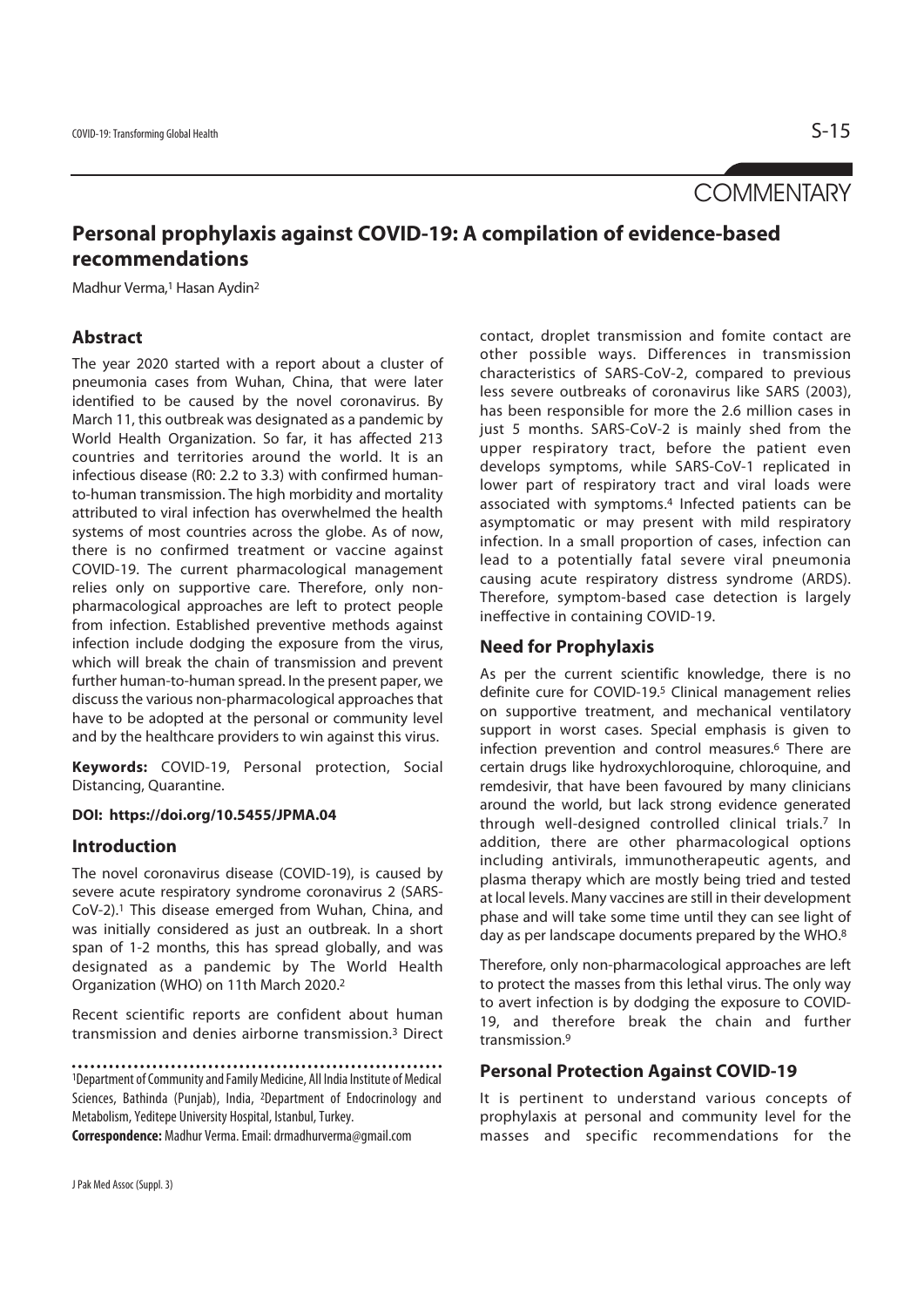# **COMMENTARY**

# **Personal prophylaxis against COVID-19: A compilation of evidence-based recommendations**

Madhur Verma,<sup>1</sup> Hasan Aydin<sup>2</sup>

## **Abstract**

The year 2020 started with a report about a cluster of pneumonia cases from Wuhan, China, that were later identified to be caused by the novel coronavirus. By March 11, this outbreak was designated as a pandemic by World Health Organization. So far, it has affected 213 countries and territories around the world. It is an infectious disease (R0: 2.2 to 3.3) with confirmed humanto-human transmission. The high morbidity and mortality attributed to viral infection has overwhelmed the health systems of most countries across the globe. As of now, there is no confirmed treatment or vaccine against COVID-19. The current pharmacological management relies only on supportive care. Therefore, only nonpharmacological approaches are left to protect people from infection. Established preventive methods against infection include dodging the exposure from the virus, which will break the chain of transmission and prevent further human-to-human spread. In the present paper, we discuss the various non-pharmacological approaches that have to be adopted at the personal or community level and by the healthcare providers to win against this virus.

**Keywords:** COVID-19, Personal protection, Social Distancing, Quarantine.

### **DOI: https://doi.org/10.5455/JPMA.04**

## **Introduction**

The novel coronavirus disease (COVID-19), is caused by severe acute respiratory syndrome coronavirus 2 (SARS-CoV-2).1 This disease emerged from Wuhan, China, and was initially considered as just an outbreak. In a short span of 1-2 months, this has spread globally, and was designated as a pandemic by The World Health Organization (WHO) on 11th March 2020.2

Recent scientific reports are confident about human transmission and denies airborne transmission.3 Direct

1Department of Community and Family Medicine, All India Institute of Medical Sciences, Bathinda (Punjab), India, 2Department of Endocrinology and Metabolism, Yeditepe University Hospital, Istanbul, Turkey.

**Correspondence:** Madhur Verma. Email: drmadhurverma@gmail.com

contact, droplet transmission and fomite contact are other possible ways. Differences in transmission characteristics of SARS-CoV-2, compared to previous less severe outbreaks of coronavirus like SARS (2003), has been responsible for more the 2.6 million cases in just 5 months. SARS-CoV-2 is mainly shed from the upper respiratory tract, before the patient even develops symptoms, while SARS-CoV-1 replicated in lower part of respiratory tract and viral loads were associated with symptoms.4 Infected patients can be asymptomatic or may present with mild respiratory infection. In a small proportion of cases, infection can lead to a potentially fatal severe viral pneumonia causing acute respiratory distress syndrome (ARDS). Therefore, symptom-based case detection is largely ineffective in containing COVID-19.

## **Need for Prophylaxis**

As per the current scientific knowledge, there is no definite cure for COVID-19.5 Clinical management relies on supportive treatment, and mechanical ventilatory support in worst cases. Special emphasis is given to infection prevention and control measures.<sup>6</sup> There are certain drugs like hydroxychloroquine, chloroquine, and remdesivir, that have been favoured by many clinicians around the world, but lack strong evidence generated through well-designed controlled clinical trials.7 In addition, there are other pharmacological options including antivirals, immunotherapeutic agents, and plasma therapy which are mostly being tried and tested at local levels. Many vaccines are still in their development phase and will take some time until they can see light of day as per landscape documents prepared by the WHO.<sup>8</sup>

Therefore, only non-pharmacological approaches are left to protect the masses from this lethal virus. The only way to avert infection is by dodging the exposure to COVID-19, and therefore break the chain and further transmission.9

## **Personal Protection Against COVID-19**

It is pertinent to understand various concepts of prophylaxis at personal and community level for the masses and specific recommendations for the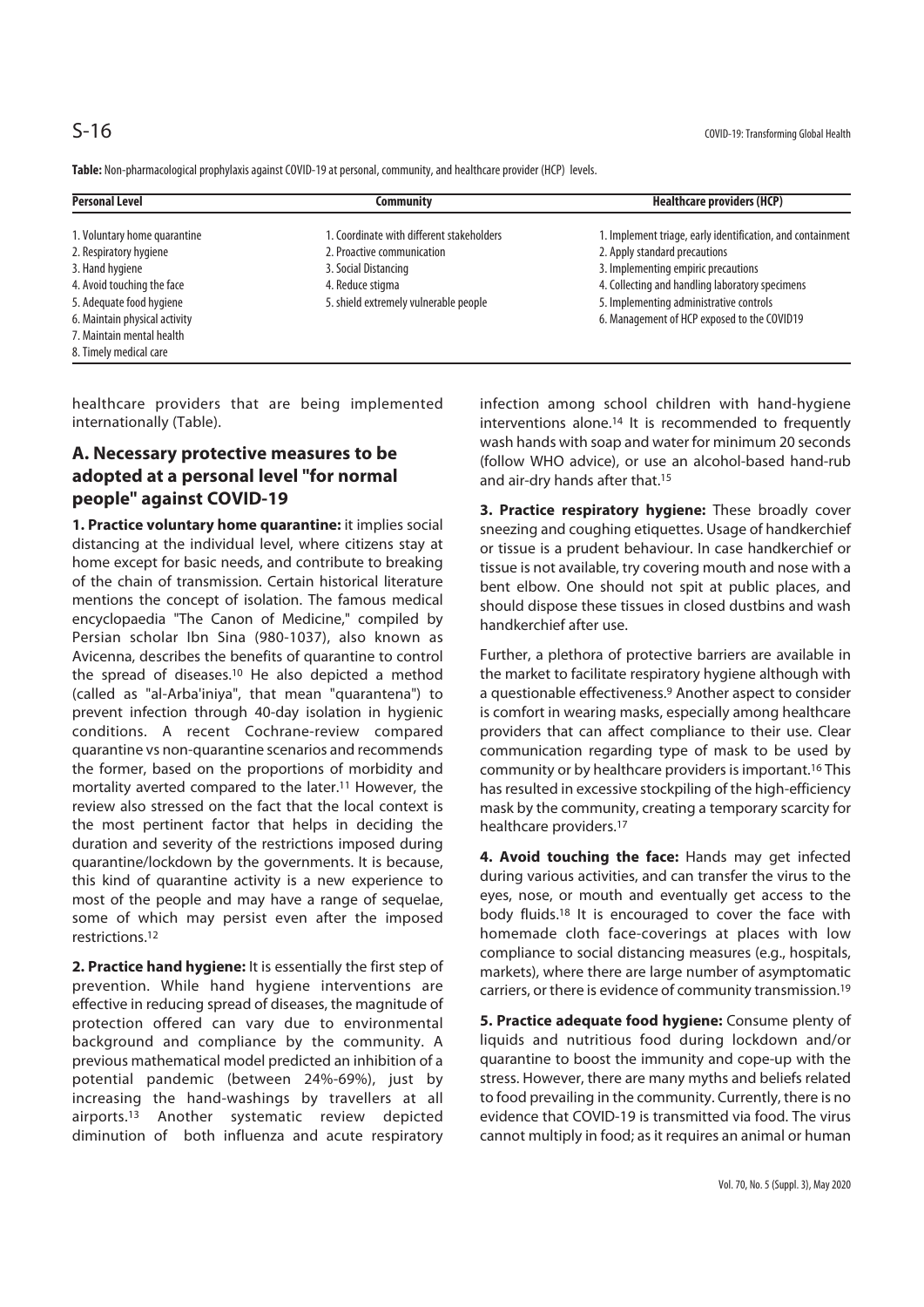**Table:** Non-pharmacological prophylaxis against COVID-19 at personal, community, and healthcare provider (HCP) levels.

| <b>Personal Level</b>         | Communitv                                 | <b>Healthcare providers (HCP)</b>                          |
|-------------------------------|-------------------------------------------|------------------------------------------------------------|
| 1. Voluntary home quarantine  | 1. Coordinate with different stakeholders | 1. Implement triage, early identification, and containment |
| 2. Respiratory hygiene        | 2. Proactive communication                | 2. Apply standard precautions                              |
| 3. Hand hygiene               | 3. Social Distancing                      | 3. Implementing empiric precautions                        |
| 4. Avoid touching the face    | 4. Reduce stigma                          | 4. Collecting and handling laboratory specimens            |
| 5. Adequate food hygiene      | 5. shield extremely vulnerable people     | 5. Implementing administrative controls                    |
| 6. Maintain physical activity |                                           | 6. Management of HCP exposed to the COVID19                |
| 7. Maintain mental health     |                                           |                                                            |
| 8. Timely medical care        |                                           |                                                            |

healthcare providers that are being implemented internationally (Table).

# **A. Necessary protective measures to be adopted at a personal level "for normal people" against COVID-19**

**1. Practice voluntary home quarantine:** it implies social distancing at the individual level, where citizens stay at home except for basic needs, and contribute to breaking of the chain of transmission. Certain historical literature mentions the concept of isolation. The famous medical encyclopaedia "The Canon of Medicine," compiled by Persian scholar Ibn Sina (980-1037), also known as Avicenna, describes the benefits of quarantine to control the spread of diseases.10 He also depicted a method (called as "al-Arba'iniya", that mean "quarantena") to prevent infection through 40-day isolation in hygienic conditions. A recent Cochrane-review compared quarantine vs non-quarantine scenarios and recommends the former, based on the proportions of morbidity and mortality averted compared to the later.11 However, the review also stressed on the fact that the local context is the most pertinent factor that helps in deciding the duration and severity of the restrictions imposed during quarantine/lockdown by the governments. It is because, this kind of quarantine activity is a new experience to most of the people and may have a range of sequelae, some of which may persist even after the imposed restrictions.12

**2. Practice hand hygiene:** It is essentially the first step of prevention. While hand hygiene interventions are effective in reducing spread of diseases, the magnitude of protection offered can vary due to environmental background and compliance by the community. A previous mathematical model predicted an inhibition of a potential pandemic (between 24%-69%), just by increasing the hand-washings by travellers at all airports.13 Another systematic review depicted diminution of both influenza and acute respiratory

infection among school children with hand-hygiene interventions alone.14 It is recommended to frequently wash hands with soap and water for minimum 20 seconds (follow WHO advice), or use an alcohol-based hand-rub and air-dry hands after that.15

**3. Practice respiratory hygiene:** These broadly cover sneezing and coughing etiquettes. Usage of handkerchief or tissue is a prudent behaviour. In case handkerchief or tissue is not available, try covering mouth and nose with a bent elbow. One should not spit at public places, and should dispose these tissues in closed dustbins and wash handkerchief after use.

Further, a plethora of protective barriers are available in the market to facilitate respiratory hygiene although with a questionable effectiveness.<sup>9</sup> Another aspect to consider is comfort in wearing masks, especially among healthcare providers that can affect compliance to their use. Clear communication regarding type of mask to be used by community or by healthcare providers is important.16 This has resulted in excessive stockpiling of the high-efficiency mask by the community, creating a temporary scarcity for healthcare providers.17

**4. Avoid touching the face:** Hands may get infected during various activities, and can transfer the virus to the eyes, nose, or mouth and eventually get access to the body fluids.18 It is encouraged to cover the face with homemade cloth face-coverings at places with low compliance to social distancing measures (e.g., hospitals, markets), where there are large number of asymptomatic carriers, or there is evidence of community transmission.19

**5. Practice adequate food hygiene:** Consume plenty of liquids and nutritious food during lockdown and/or quarantine to boost the immunity and cope-up with the stress. However, there are many myths and beliefs related to food prevailing in the community. Currently, there is no evidence that COVID-19 is transmitted via food. The virus cannot multiply in food; as it requires an animal or human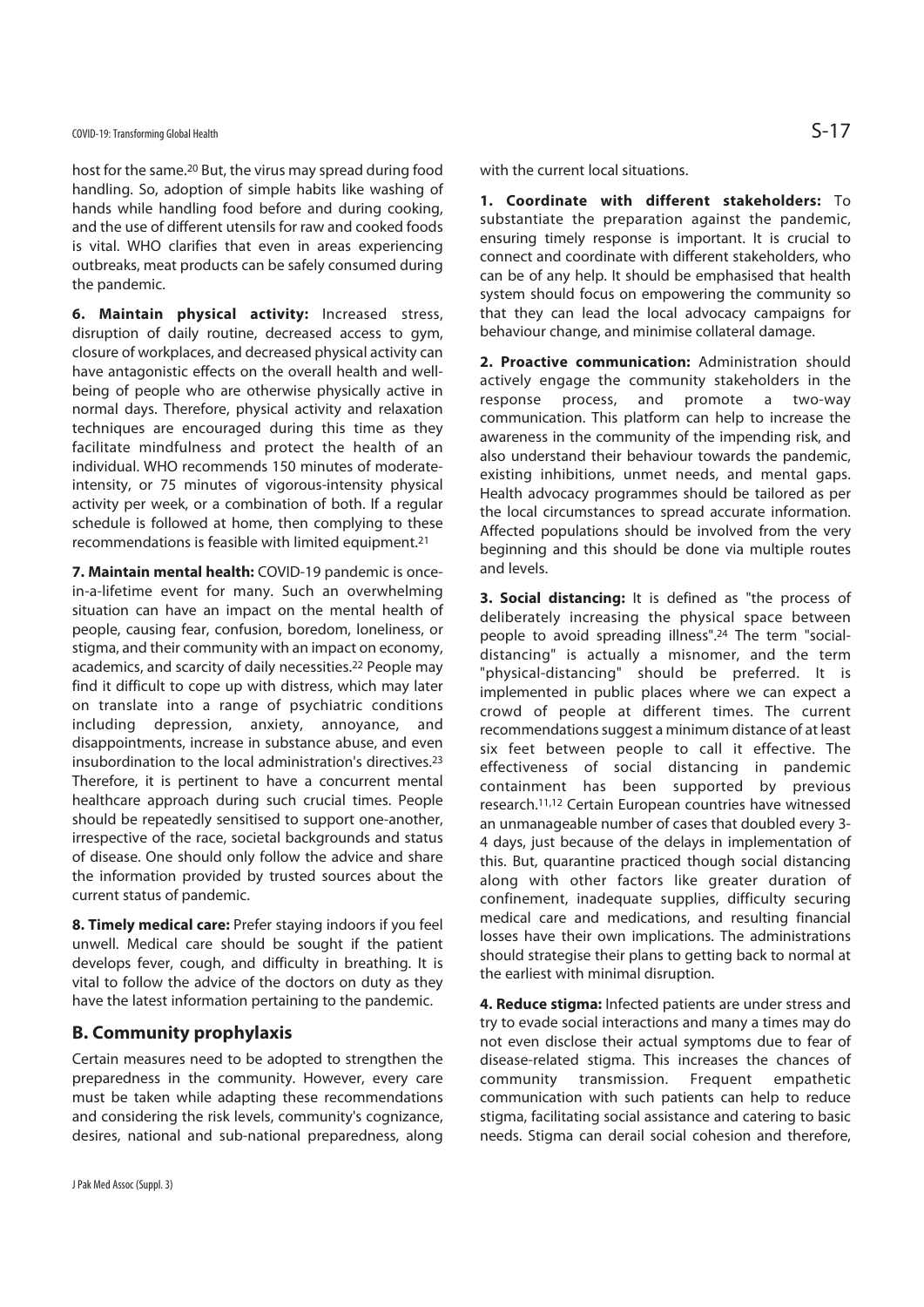host for the same.20 But, the virus may spread during food handling. So, adoption of simple habits like washing of hands while handling food before and during cooking, and the use of different utensils for raw and cooked foods is vital. WHO clarifies that even in areas experiencing outbreaks, meat products can be safely consumed during the pandemic.

**6. Maintain physical activity:** Increased stress, disruption of daily routine, decreased access to gym, closure of workplaces, and decreased physical activity can have antagonistic effects on the overall health and wellbeing of people who are otherwise physically active in normal days. Therefore, physical activity and relaxation techniques are encouraged during this time as they facilitate mindfulness and protect the health of an individual. WHO recommends 150 minutes of moderateintensity, or 75 minutes of vigorous-intensity physical activity per week, or a combination of both. If a regular schedule is followed at home, then complying to these recommendations is feasible with limited equipment.21

**7. Maintain mental health:** COVID-19 pandemic is oncein-a-lifetime event for many. Such an overwhelming situation can have an impact on the mental health of people, causing fear, confusion, boredom, loneliness, or stigma, and their community with an impact on economy, academics, and scarcity of daily necessities.22 People may find it difficult to cope up with distress, which may later on translate into a range of psychiatric conditions including depression, anxiety, annoyance, and disappointments, increase in substance abuse, and even insubordination to the local administration's directives.23 Therefore, it is pertinent to have a concurrent mental healthcare approach during such crucial times. People should be repeatedly sensitised to support one-another, irrespective of the race, societal backgrounds and status of disease. One should only follow the advice and share the information provided by trusted sources about the current status of pandemic.

**8. Timely medical care:** Prefer staying indoors if you feel unwell. Medical care should be sought if the patient develops fever, cough, and difficulty in breathing. It is vital to follow the advice of the doctors on duty as they have the latest information pertaining to the pandemic.

## **B. Community prophylaxis**

Certain measures need to be adopted to strengthen the preparedness in the community. However, every care must be taken while adapting these recommendations and considering the risk levels, community's cognizance, desires, national and sub-national preparedness, along

with the current local situations.

**1. Coordinate with different stakeholders:** To substantiate the preparation against the pandemic, ensuring timely response is important. It is crucial to connect and coordinate with different stakeholders, who can be of any help. It should be emphasised that health system should focus on empowering the community so that they can lead the local advocacy campaigns for behaviour change, and minimise collateral damage.

**2. Proactive communication:** Administration should actively engage the community stakeholders in the response process, and promote a two-way communication. This platform can help to increase the awareness in the community of the impending risk, and also understand their behaviour towards the pandemic, existing inhibitions, unmet needs, and mental gaps. Health advocacy programmes should be tailored as per the local circumstances to spread accurate information. Affected populations should be involved from the very beginning and this should be done via multiple routes and levels.

**3. Social distancing:** It is defined as "the process of deliberately increasing the physical space between people to avoid spreading illness".24 The term "socialdistancing" is actually a misnomer, and the term "physical-distancing" should be preferred. It is implemented in public places where we can expect a crowd of people at different times. The current recommendations suggest a minimum distance of at least six feet between people to call it effective. The effectiveness of social distancing in pandemic containment has been supported by previous research.11,12 Certain European countries have witnessed an unmanageable number of cases that doubled every 3- 4 days, just because of the delays in implementation of this. But, quarantine practiced though social distancing along with other factors like greater duration of confinement, inadequate supplies, difficulty securing medical care and medications, and resulting financial losses have their own implications. The administrations should strategise their plans to getting back to normal at the earliest with minimal disruption.

**4. Reduce stigma:** Infected patients are under stress and try to evade social interactions and many a times may do not even disclose their actual symptoms due to fear of disease-related stigma. This increases the chances of community transmission. Frequent empathetic communication with such patients can help to reduce stigma, facilitating social assistance and catering to basic needs. Stigma can derail social cohesion and therefore,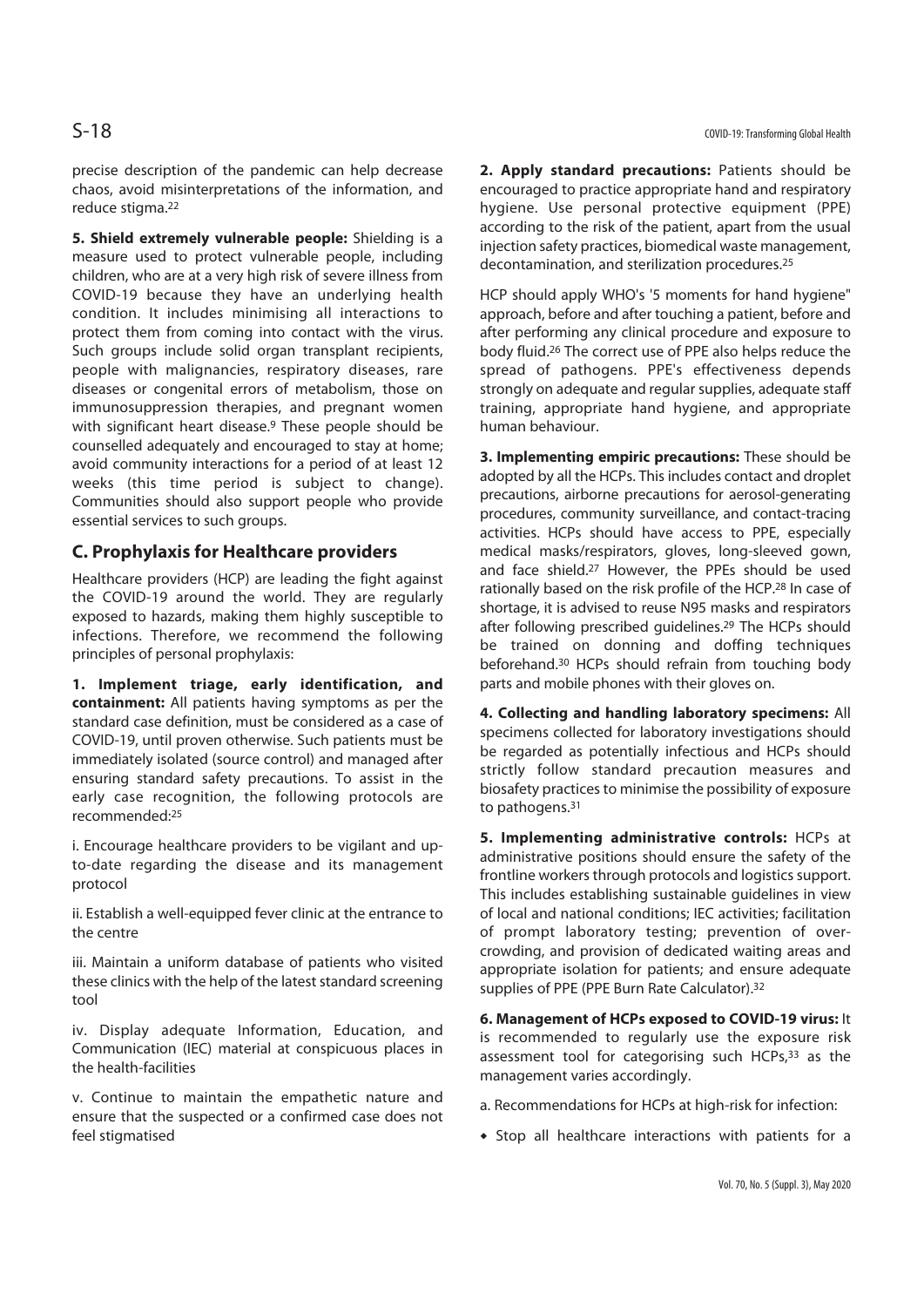precise description of the pandemic can help decrease chaos, avoid misinterpretations of the information, and reduce stigma.22

**5. Shield extremely vulnerable people:** Shielding is a measure used to protect vulnerable people, including children, who are at a very high risk of severe illness from COVID-19 because they have an underlying health condition. It includes minimising all interactions to protect them from coming into contact with the virus. Such groups include solid organ transplant recipients, people with malignancies, respiratory diseases, rare diseases or congenital errors of metabolism, those on immunosuppression therapies, and pregnant women with significant heart disease.<sup>9</sup> These people should be counselled adequately and encouraged to stay at home; avoid community interactions for a period of at least 12 weeks (this time period is subject to change). Communities should also support people who provide essential services to such groups.

# **C. Prophylaxis for Healthcare providers**

Healthcare providers (HCP) are leading the fight against the COVID-19 around the world. They are regularly exposed to hazards, making them highly susceptible to infections. Therefore, we recommend the following principles of personal prophylaxis:

**1. Implement triage, early identification, and containment:** All patients having symptoms as per the standard case definition, must be considered as a case of COVID-19, until proven otherwise. Such patients must be immediately isolated (source control) and managed after ensuring standard safety precautions. To assist in the early case recognition, the following protocols are recommended:25

i. Encourage healthcare providers to be vigilant and upto-date regarding the disease and its management protocol

ii. Establish a well-equipped fever clinic at the entrance to the centre

iii. Maintain a uniform database of patients who visited these clinics with the help of the latest standard screening tool

iv. Display adequate Information, Education, and Communication (IEC) material at conspicuous places in the health-facilities

v. Continue to maintain the empathetic nature and ensure that the suspected or a confirmed case does not feel stigmatised

**2. Apply standard precautions:** Patients should be encouraged to practice appropriate hand and respiratory hygiene. Use personal protective equipment (PPE) according to the risk of the patient, apart from the usual injection safety practices, biomedical waste management, decontamination, and sterilization procedures.25

HCP should apply WHO's '5 moments for hand hygiene" approach, before and after touching a patient, before and after performing any clinical procedure and exposure to body fluid.26 The correct use of PPE also helps reduce the spread of pathogens. PPE's effectiveness depends strongly on adequate and regular supplies, adequate staff training, appropriate hand hygiene, and appropriate human behaviour.

**3. Implementing empiric precautions:** These should be adopted by all the HCPs. This includes contact and droplet precautions, airborne precautions for aerosol-generating procedures, community surveillance, and contact-tracing activities. HCPs should have access to PPE, especially medical masks/respirators, gloves, long-sleeved gown, and face shield.27 However, the PPEs should be used rationally based on the risk profile of the HCP.28 In case of shortage, it is advised to reuse N95 masks and respirators after following prescribed guidelines.<sup>29</sup> The HCPs should be trained on donning and doffing techniques beforehand.30 HCPs should refrain from touching body parts and mobile phones with their gloves on.

**4. Collecting and handling laboratory specimens:** All specimens collected for laboratory investigations should be regarded as potentially infectious and HCPs should strictly follow standard precaution measures and biosafety practices to minimise the possibility of exposure to pathogens.<sup>31</sup>

**5. Implementing administrative controls:** HCPs at administrative positions should ensure the safety of the frontline workers through protocols and logistics support. This includes establishing sustainable guidelines in view of local and national conditions; IEC activities; facilitation of prompt laboratory testing; prevention of overcrowding, and provision of dedicated waiting areas and appropriate isolation for patients; and ensure adequate supplies of PPE (PPE Burn Rate Calculator).32

**6. Management of HCPs exposed to COVID-19 virus:** It is recommended to regularly use the exposure risk assessment tool for categorising such HCPs,<sup>33</sup> as the management varies accordingly.

a. Recommendations for HCPs at high-risk for infection:

• Stop all healthcare interactions with patients for a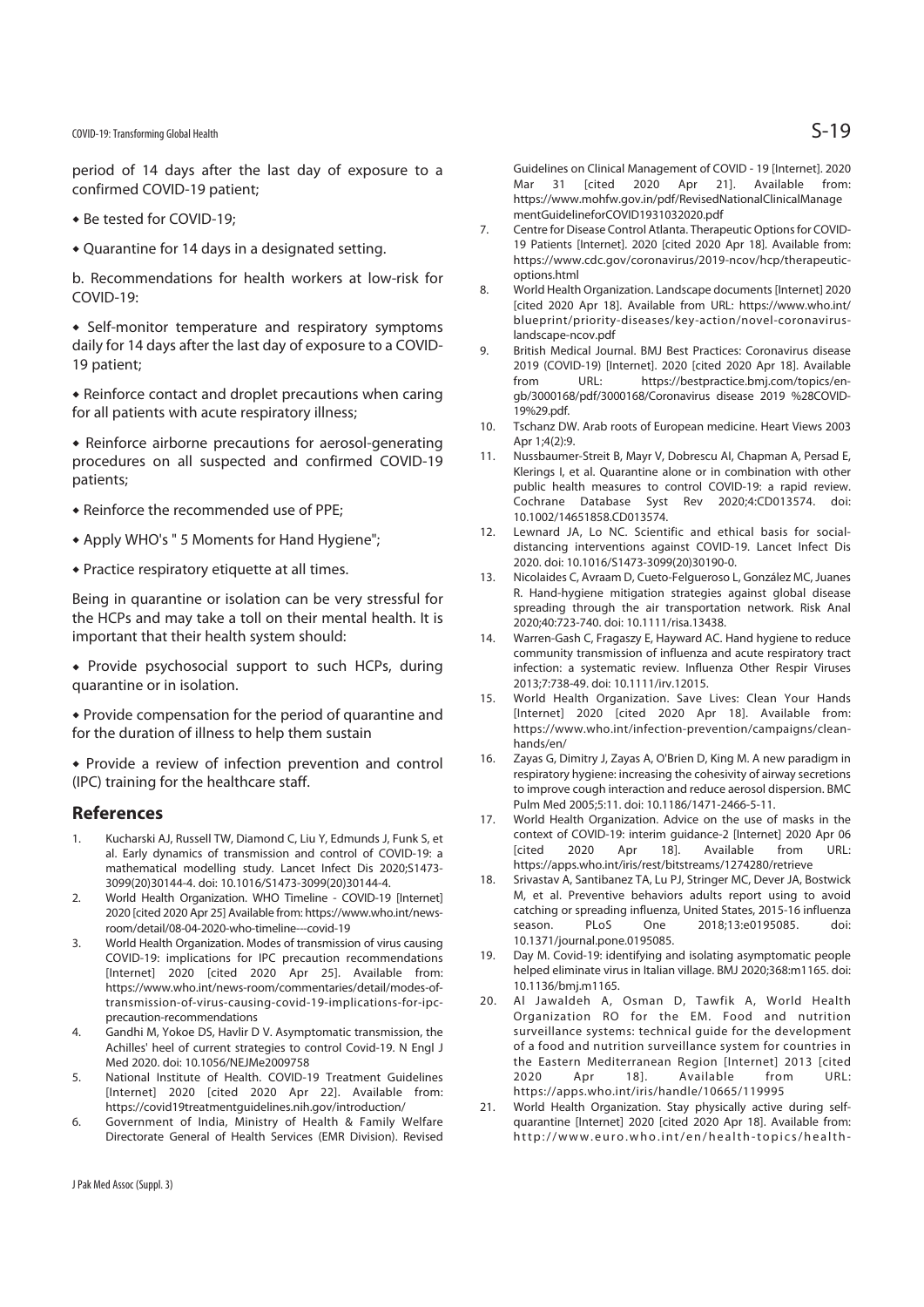## COVID-19: Transforming Global Health  $S-19$

period of 14 days after the last day of exposure to a confirmed COVID-19 patient;

- Be tested for COVID-19;
- $\triangle$  Quarantine for 14 days in a designated setting.

b. Recommendations for health workers at low-risk for COVID-19:

• Self-monitor temperature and respiratory symptoms daily for 14 days after the last day of exposure to a COVID-19 patient;

 $\bullet$  Reinforce contact and droplet precautions when caring for all patients with acute respiratory illness;

 $\bullet$  Reinforce airborne precautions for aerosol-generating procedures on all suspected and confirmed COVID-19 patients;

- $\bullet$  Reinforce the recommended use of PPE;
- Apply WHO's " 5 Moments for Hand Hygiene";
- $\bullet$  Practice respiratory etiquette at all times.

Being in quarantine or isolation can be very stressful for the HCPs and may take a toll on their mental health. It is important that their health system should:

 $\bullet$  Provide psychosocial support to such HCPs, during quarantine or in isolation.

• Provide compensation for the period of quarantine and for the duration of illness to help them sustain

 $\bullet$  Provide a review of infection prevention and control (IPC) training for the healthcare staff.

### **References**

- 1. Kucharski AJ, Russell TW, Diamond C, Liu Y, Edmunds J, Funk S, et al. Early dynamics of transmission and control of COVID-19: a mathematical modelling study. Lancet Infect Dis 2020;S1473- 3099(20)30144-4. doi: 10.1016/S1473-3099(20)30144-4.
- 2. World Health Organization. WHO Timeline COVID-19 [Internet] 2020 [cited 2020 Apr 25] Available from: https://www.who.int/newsroom/detail/08-04-2020-who-timeline---covid-19
- 3. World Health Organization. Modes of transmission of virus causing COVID-19: implications for IPC precaution recommendations [Internet] 2020 [cited 2020 Apr 25]. Available from: https://www.who.int/news-room/commentaries/detail/modes-oftransmission-of-virus-causing-covid-19-implications-for-ipcprecaution-recommendations
- 4. Gandhi M, Yokoe DS, Havlir D V. Asymptomatic transmission, the Achilles' heel of current strategies to control Covid-19. N Engl J Med 2020. doi: 10.1056/NEJMe2009758
- 5. National Institute of Health. COVID-19 Treatment Guidelines [Internet] 2020 [cited 2020 Apr 22]. Available from: https://covid19treatmentguidelines.nih.gov/introduction/
- 6. Government of India, Ministry of Health & Family Welfare Directorate General of Health Services (EMR Division). Revised

Guidelines on Clinical Management of COVID - 19 [Internet]. 2020 Mar 31 [cited 2020 Apr 21]. Available from: https://www.mohfw.gov.in/pdf/RevisedNationalClinicalManage mentGuidelineforCOVID1931032020.pdf

- 7. Centre for Disease Control Atlanta. Therapeutic Options for COVID-19 Patients [Internet]. 2020 [cited 2020 Apr 18]. Available from: https://www.cdc.gov/coronavirus/2019-ncov/hcp/therapeuticoptions.html
- 8. World Health Organization. Landscape documents [Internet] 2020 [cited 2020 Apr 18]. Available from URL: https://www.who.int/ blueprint/priority-diseases/key-action/novel-coronaviruslandscape-ncov.pdf
- 9. British Medical Journal. BMJ Best Practices: Coronavirus disease 2019 (COVID-19) [Internet]. 2020 [cited 2020 Apr 18]. Available from URL: https://bestpractice.bmj.com/topics/engb/3000168/pdf/3000168/Coronavirus disease 2019 %28COVID-19%29.pdf.
- 10. Tschanz DW. Arab roots of European medicine. Heart Views 2003 Apr  $1:4(2)$ :9
- 11. Nussbaumer-Streit B, Mayr V, Dobrescu AI, Chapman A, Persad E, Klerings I, et al. Quarantine alone or in combination with other public health measures to control COVID-19: a rapid review. Cochrane Database Syst Rev 2020;4:CD013574. doi: 10.1002/14651858.CD013574.
- 12. Lewnard JA, Lo NC. Scientific and ethical basis for socialdistancing interventions against COVID-19. Lancet Infect Dis 2020. doi: 10.1016/S1473-3099(20)30190-0.
- 13. Nicolaides C, Avraam D, Cueto-Felgueroso L, González MC, Juanes R. Hand-hygiene mitigation strategies against global disease spreading through the air transportation network. Risk Anal 2020;40:723-740. doi: 10.1111/risa.13438.
- 14. Warren-Gash C, Fragaszy E, Hayward AC. Hand hygiene to reduce community transmission of influenza and acute respiratory tract infection: a systematic review. Influenza Other Respir Viruses 2013;7:738-49. doi: 10.1111/irv.12015.
- 15. World Health Organization. Save Lives: Clean Your Hands [Internet] 2020 [cited 2020 Apr 18]. Available from: https://www.who.int/infection-prevention/campaigns/cleanhands/en/
- 16. Zayas G, Dimitry J, Zayas A, O'Brien D, King M. A new paradigm in respiratory hygiene: increasing the cohesivity of airway secretions to improve cough interaction and reduce aerosol dispersion. BMC Pulm Med 2005;5:11. doi: 10.1186/1471-2466-5-11.
- 17. World Health Organization. Advice on the use of masks in the context of COVID-19: interim guidance-2 [Internet] 2020 Apr 06 [cited 2020 Apr 18]. Available from URL: https://apps.who.int/iris/rest/bitstreams/1274280/retrieve
- 18. Srivastav A, Santibanez TA, Lu PJ, Stringer MC, Dever JA, Bostwick M, et al. Preventive behaviors adults report using to avoid catching or spreading influenza, United States, 2015-16 influenza season. PLoS One 2018;13:e0195085. doi: 10.1371/journal.pone.0195085.
- 19. Day M. Covid-19: identifying and isolating asymptomatic people helped eliminate virus in Italian village. BMJ 2020;368:m1165. doi: 10.1136/bmj.m1165.
- 20. Al Jawaldeh A, Osman D, Tawfik A, World Health Organization RO for the EM. Food and nutrition surveillance systems: technical guide for the development of a food and nutrition surveillance system for countries in the Eastern Mediterranean Region [Internet] 2013 [cited 2020 Apr 18]. Available from URL: https://apps.who.int/iris/handle/10665/119995
- 21. World Health Organization. Stay physically active during selfquarantine [Internet] 2020 [cited 2020 Apr 18]. Available from: http://www.euro.who.int/en/health-topics/health-